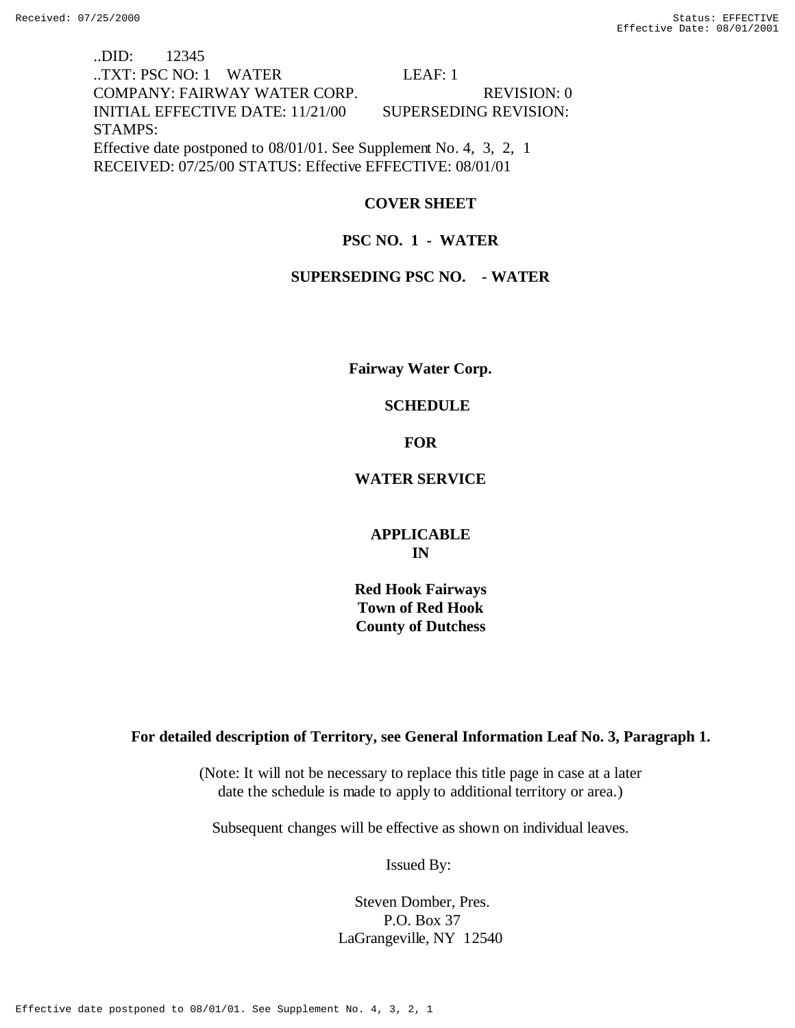..DID: 12345 ..TXT: PSC NO: 1 WATER LEAF: 1 COMPANY: FAIRWAY WATER CORP. REVISION: 0 INITIAL EFFECTIVE DATE: 11/21/00 SUPERSEDING REVISION: STAMPS: Effective date postponed to 08/01/01. See Supplement No. 4, 3, 2, 1 RECEIVED: 07/25/00 STATUS: Effective EFFECTIVE: 08/01/01

# **COVER SHEET**

# **PSC NO. 1 - WATER**

## **SUPERSEDING PSC NO. - WATER**

**Fairway Water Corp.**

## **SCHEDULE**

## **FOR**

# **WATER SERVICE**

# **APPLICABLE IN**

 **Red Hook Fairways Town of Red Hook County of Dutchess**

## **For detailed description of Territory, see General Information Leaf No. 3, Paragraph 1.**

(Note: It will not be necessary to replace this title page in case at a later date the schedule is made to apply to additional territory or area.)

Subsequent changes will be effective as shown on individual leaves.

Issued By:

# Steven Domber, Pres. P.O. Box 37 LaGrangeville, NY 12540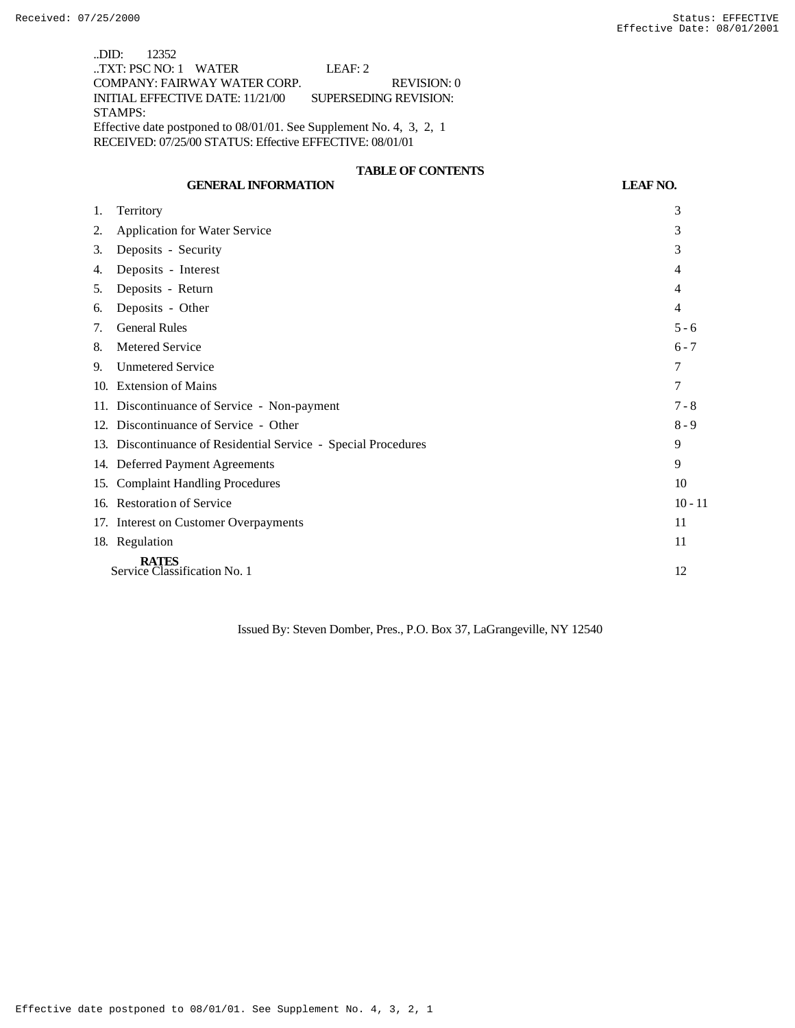..DID: 12352 ..TXT: PSC NO: 1 WATER LEAF: 2 COMPANY: FAIRWAY WATER CORP. REVISION: 0 INITIAL EFFECTIVE DATE: 11/21/00 SUPERSEDING REVISION: STAMPS: Effective date postponed to 08/01/01. See Supplement No. 4, 3, 2, 1 RECEIVED: 07/25/00 STATUS: Effective EFFECTIVE: 08/01/01

# **TABLE OF CONTENTS**

# **GENERAL INFORMATION LEAF NO.**

| 1.                                                 | Territory                                                      | 3         |
|----------------------------------------------------|----------------------------------------------------------------|-----------|
| 2.                                                 | <b>Application for Water Service</b>                           | 3         |
| 3.                                                 | Deposits - Security                                            | 3         |
| 4.                                                 | Deposits - Interest                                            | 4         |
| 5.                                                 | Deposits - Return                                              | 4         |
| 6.                                                 | Deposits - Other                                               | 4         |
| 7.                                                 | <b>General Rules</b>                                           | $5 - 6$   |
| 8.                                                 | <b>Metered Service</b>                                         | $6 - 7$   |
| 9.                                                 | <b>Unmetered Service</b>                                       | 7         |
|                                                    | 10. Extension of Mains                                         | 7         |
|                                                    | 11. Discontinuance of Service - Non-payment                    | $7 - 8$   |
|                                                    | 12. Discontinuance of Service - Other                          | $8 - 9$   |
|                                                    | 13. Discontinuance of Residential Service - Special Procedures | 9         |
|                                                    | 14. Deferred Payment Agreements                                | 9         |
| 15.                                                | <b>Complaint Handling Procedures</b>                           | 10        |
|                                                    | 16. Restoration of Service                                     | $10 - 11$ |
|                                                    | 17. Interest on Customer Overpayments                          | 11        |
|                                                    | 18. Regulation                                                 | 11        |
| <b>RATES</b><br>Service Classification No. 1<br>12 |                                                                |           |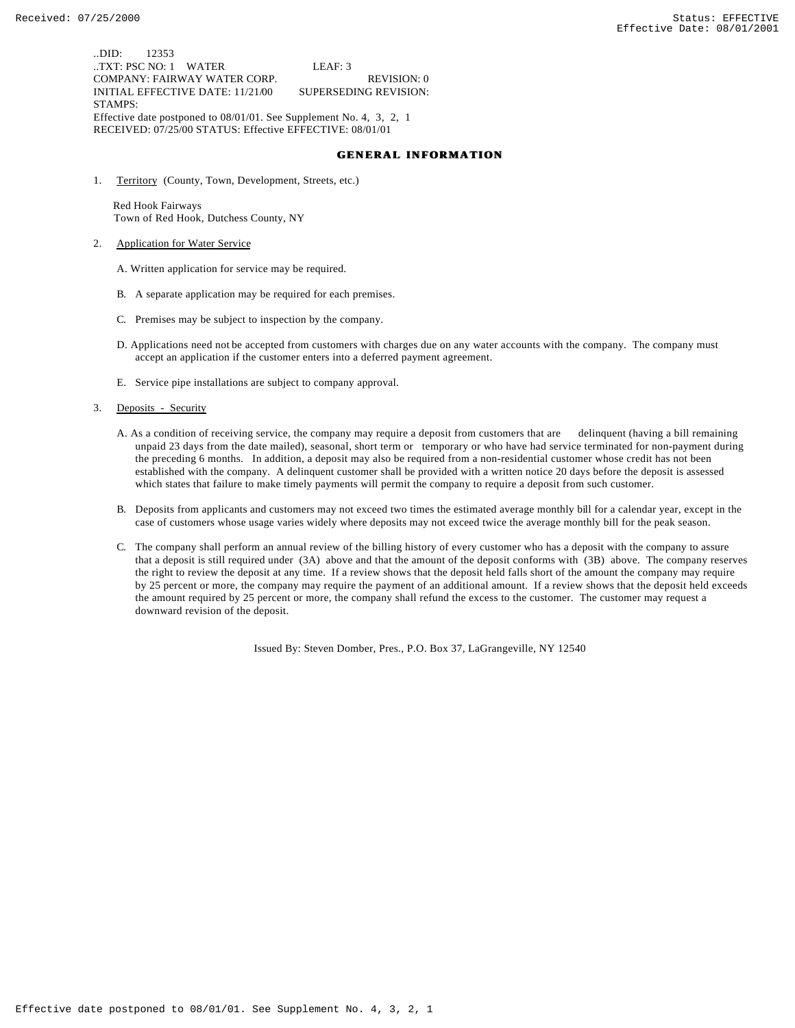..DID: 12353 ..TXT: PSC NO: 1 WATER LEAF: 3 COMPANY: FAIRWAY WATER CORP. REVISION: 0 INITIAL EFFECTIVE DATE: 11/21/00 SUPERSEDING REVISION: STAMPS: Effective date postponed to 08/01/01. See Supplement No. 4, 3, 2, 1 RECEIVED: 07/25/00 STATUS: Effective EFFECTIVE: 08/01/01

### **GENERAL INFORMATION**

1. Territory (County, Town, Development, Streets, etc.)

 Red Hook Fairways Town of Red Hook, Dutchess County, NY

- 2. Application for Water Service
	- A. Written application for service may be required.
	- B. A separate application may be required for each premises.
	- C. Premises may be subject to inspection by the company.
	- D. Applications need not be accepted from customers with charges due on any water accounts with the company. The company must accept an application if the customer enters into a deferred payment agreement.
	- E. Service pipe installations are subject to company approval.
- 3. Deposits Security
	- A. As a condition of receiving service, the company may require a deposit from customers that are delinquent (having a bill remaining unpaid 23 days from the date mailed), seasonal, short term or temporary or who have had service terminated for non-payment during the preceding 6 months. In addition, a deposit may also be required from a non-residential customer whose credit has not been established with the company. A delinquent customer shall be provided with a written notice 20 days before the deposit is assessed which states that failure to make timely payments will permit the company to require a deposit from such customer.
	- B. Deposits from applicants and customers may not exceed two times the estimated average monthly bill for a calendar year, except in the case of customers whose usage varies widely where deposits may not exceed twice the average monthly bill for the peak season.
	- C. The company shall perform an annual review of the billing history of every customer who has a deposit with the company to assure that a deposit is still required under (3A) above and that the amount of the deposit conforms with (3B) above. The company reserves the right to review the deposit at any time. If a review shows that the deposit held falls short of the amount the company may require by 25 percent or more, the company may require the payment of an additional amount. If a review shows that the deposit held exceeds the amount required by 25 percent or more, the company shall refund the excess to the customer. The customer may request a downward revision of the deposit.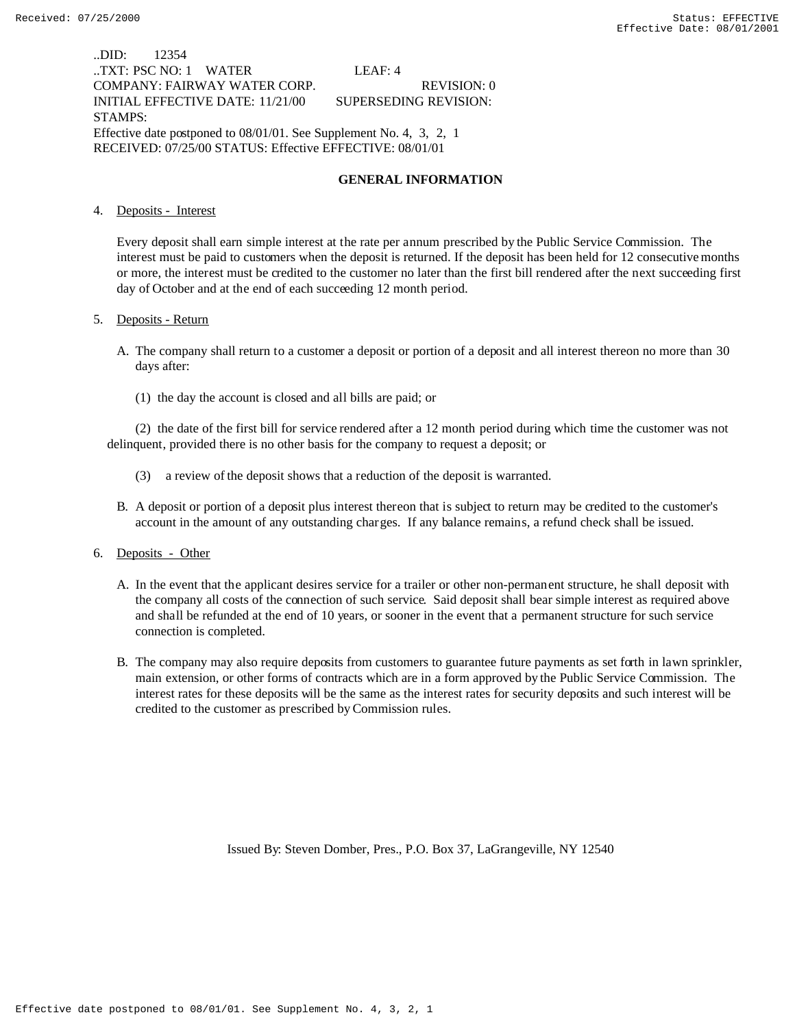..DID: 12354 ..TXT: PSC NO: 1 WATER LEAF: 4 COMPANY: FAIRWAY WATER CORP. REVISION: 0 INITIAL EFFECTIVE DATE: 11/21/00 SUPERSEDING REVISION: STAMPS: Effective date postponed to 08/01/01. See Supplement No. 4, 3, 2, 1 RECEIVED: 07/25/00 STATUS: Effective EFFECTIVE: 08/01/01

#### **GENERAL INFORMATION**

#### 4. Deposits - Interest

Every deposit shall earn simple interest at the rate per annum prescribed by the Public Service Commission. The interest must be paid to customers when the deposit is returned. If the deposit has been held for 12 consecutive months or more, the interest must be credited to the customer no later than the first bill rendered after the next succeeding first day of October and at the end of each succeeding 12 month period.

#### 5. Deposits - Return

- A. The company shall return to a customer a deposit or portion of a deposit and all interest thereon no more than 30 days after:
	- (1) the day the account is closed and all bills are paid; or

(2) the date of the first bill for service rendered after a 12 month period during which time the customer was not delinquent, provided there is no other basis for the company to request a deposit; or

- (3) a review of the deposit shows that a reduction of the deposit is warranted.
- B. A deposit or portion of a deposit plus interest thereon that is subject to return may be credited to the customer's account in the amount of any outstanding charges. If any balance remains, a refund check shall be issued.

#### 6. Deposits - Other

- A. In the event that the applicant desires service for a trailer or other non-permanent structure, he shall deposit with the company all costs of the connection of such service. Said deposit shall bear simple interest as required above and shall be refunded at the end of 10 years, or sooner in the event that a permanent structure for such service connection is completed.
- B. The company may also require deposits from customers to guarantee future payments as set forth in lawn sprinkler, main extension, or other forms of contracts which are in a form approved by the Public Service Commission. The interest rates for these deposits will be the same as the interest rates for security deposits and such interest will be credited to the customer as prescribed by Commission rules.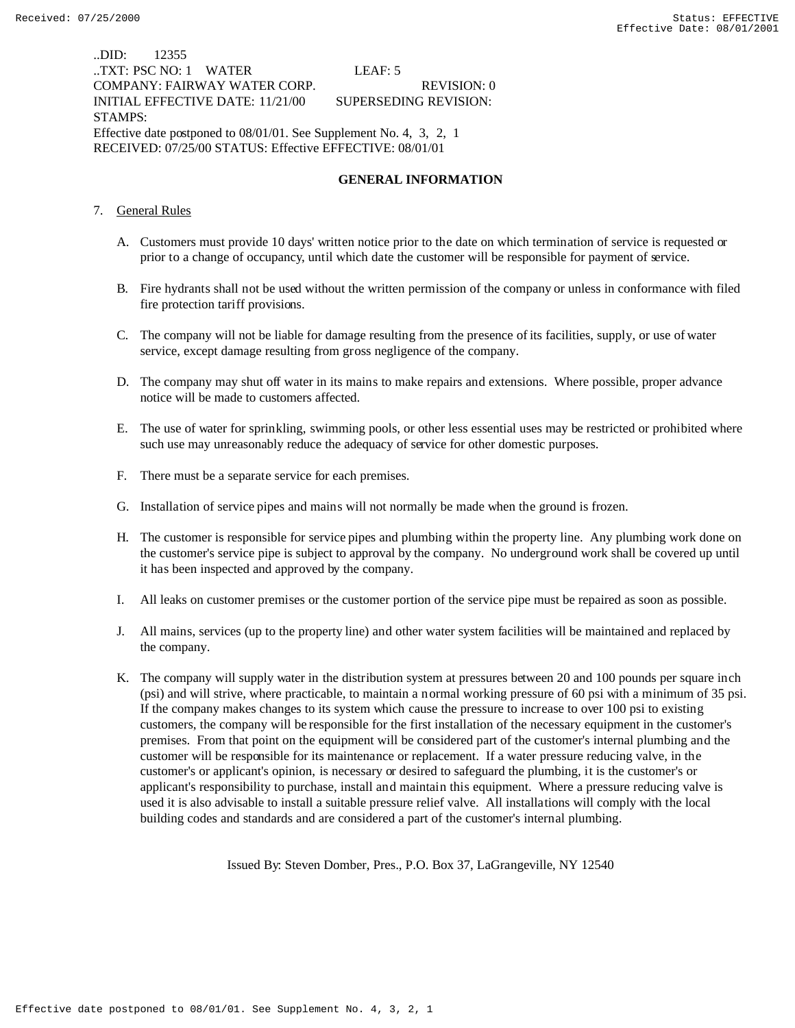..DID: 12355 ..TXT: PSC NO: 1 WATER LEAF: 5 COMPANY: FAIRWAY WATER CORP. REVISION: 0 INITIAL EFFECTIVE DATE: 11/21/00 SUPERSEDING REVISION: STAMPS: Effective date postponed to 08/01/01. See Supplement No. 4, 3, 2, 1 RECEIVED: 07/25/00 STATUS: Effective EFFECTIVE: 08/01/01

#### **GENERAL INFORMATION**

- 7. General Rules
	- A. Customers must provide 10 days' written notice prior to the date on which termination of service is requested or prior to a change of occupancy, until which date the customer will be responsible for payment of service.
	- B. Fire hydrants shall not be used without the written permission of the company or unless in conformance with filed fire protection tariff provisions.
	- C. The company will not be liable for damage resulting from the presence of its facilities, supply, or use of water service, except damage resulting from gross negligence of the company.
	- D. The company may shut off water in its mains to make repairs and extensions. Where possible, proper advance notice will be made to customers affected.
	- E. The use of water for sprinkling, swimming pools, or other less essential uses may be restricted or prohibited where such use may unreasonably reduce the adequacy of service for other domestic purposes.
	- F. There must be a separate service for each premises.
	- G. Installation of service pipes and mains will not normally be made when the ground is frozen.
	- H. The customer is responsible for service pipes and plumbing within the property line. Any plumbing work done on the customer's service pipe is subject to approval by the company. No underground work shall be covered up until it has been inspected and approved by the company.
	- I. All leaks on customer premises or the customer portion of the service pipe must be repaired as soon as possible.
	- J. All mains, services (up to the property line) and other water system facilities will be maintained and replaced by the company.
	- K. The company will supply water in the distribution system at pressures between 20 and 100 pounds per square inch (psi) and will strive, where practicable, to maintain a normal working pressure of 60 psi with a minimum of 35 psi. If the company makes changes to its system which cause the pressure to increase to over 100 psi to existing customers, the company will be responsible for the first installation of the necessary equipment in the customer's premises. From that point on the equipment will be considered part of the customer's internal plumbing and the customer will be responsible for its maintenance or replacement. If a water pressure reducing valve, in the customer's or applicant's opinion, is necessary or desired to safeguard the plumbing, it is the customer's or applicant's responsibility to purchase, install and maintain this equipment. Where a pressure reducing valve is used it is also advisable to install a suitable pressure relief valve. All installations will comply with the local building codes and standards and are considered a part of the customer's internal plumbing.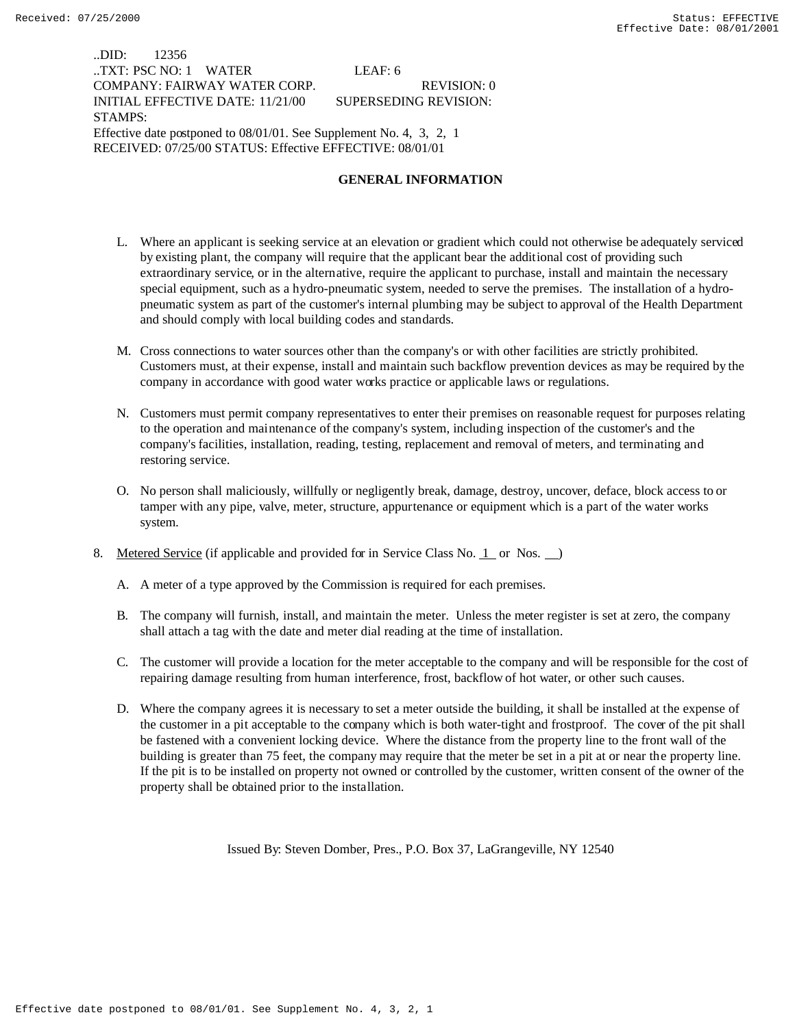### ..DID: 12356 ..TXT: PSC NO: 1 WATER LEAF: 6 COMPANY: FAIRWAY WATER CORP. REVISION: 0 INITIAL EFFECTIVE DATE: 11/21/00 SUPERSEDING REVISION: STAMPS: Effective date postponed to 08/01/01. See Supplement No. 4, 3, 2, 1 RECEIVED: 07/25/00 STATUS: Effective EFFECTIVE: 08/01/01

#### **GENERAL INFORMATION**

- L. Where an applicant is seeking service at an elevation or gradient which could not otherwise be adequately serviced by existing plant, the company will require that the applicant bear the additional cost of providing such extraordinary service, or in the alternative, require the applicant to purchase, install and maintain the necessary special equipment, such as a hydro-pneumatic system, needed to serve the premises. The installation of a hydropneumatic system as part of the customer's internal plumbing may be subject to approval of the Health Department and should comply with local building codes and standards.
- M. Cross connections to water sources other than the company's or with other facilities are strictly prohibited. Customers must, at their expense, install and maintain such backflow prevention devices as may be required by the company in accordance with good water works practice or applicable laws or regulations.
- N. Customers must permit company representatives to enter their premises on reasonable request for purposes relating to the operation and maintenance of the company's system, including inspection of the customer's and the company's facilities, installation, reading, testing, replacement and removal of meters, and terminating and restoring service.
- O. No person shall maliciously, willfully or negligently break, damage, destroy, uncover, deface, block access to or tamper with any pipe, valve, meter, structure, appurtenance or equipment which is a part of the water works system.
- 8. Metered Service (if applicable and provided for in Service Class No. 1 or Nos.  $\Box$ )
	- A. A meter of a type approved by the Commission is required for each premises.
	- B. The company will furnish, install, and maintain the meter. Unless the meter register is set at zero, the company shall attach a tag with the date and meter dial reading at the time of installation.
	- C. The customer will provide a location for the meter acceptable to the company and will be responsible for the cost of repairing damage resulting from human interference, frost, backflow of hot water, or other such causes.
	- D. Where the company agrees it is necessary to set a meter outside the building, it shall be installed at the expense of the customer in a pit acceptable to the company which is both water-tight and frostproof. The cover of the pit shall be fastened with a convenient locking device. Where the distance from the property line to the front wall of the building is greater than 75 feet, the company may require that the meter be set in a pit at or near the property line. If the pit is to be installed on property not owned or controlled by the customer, written consent of the owner of the property shall be obtained prior to the installation.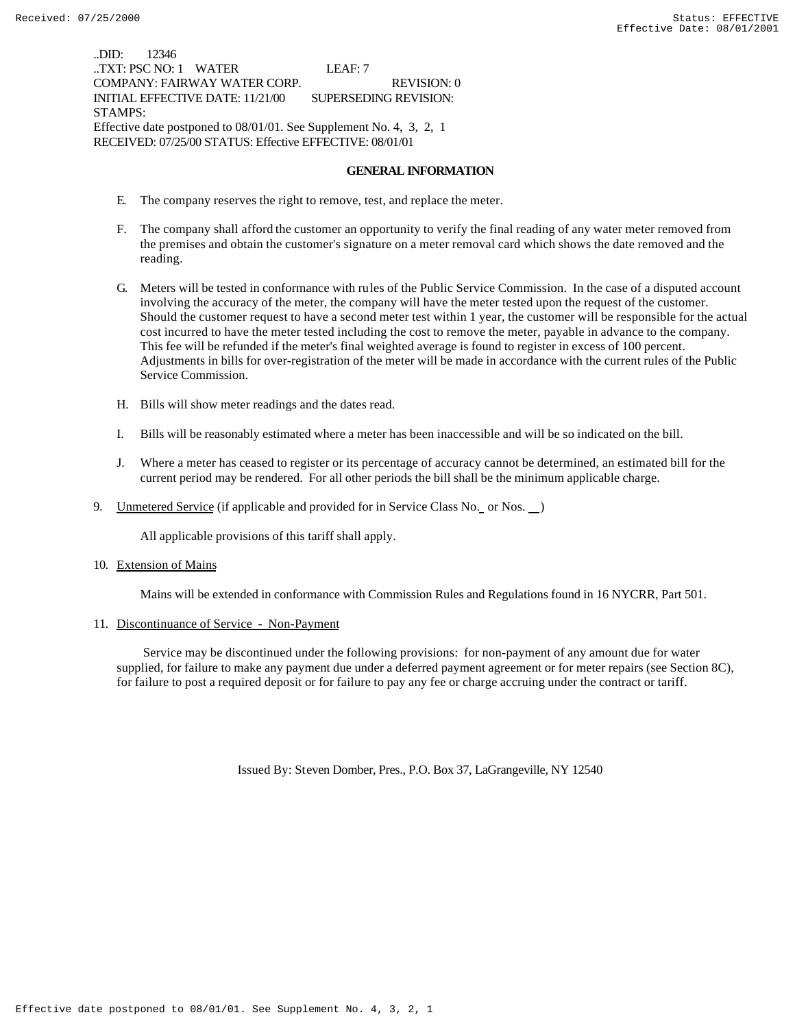..DID: 12346 ..TXT: PSC NO: 1 WATER LEAF: 7 COMPANY: FAIRWAY WATER CORP. REVISION: 0 INITIAL EFFECTIVE DATE: 11/21/00 SUPERSEDING REVISION: STAMPS: Effective date postponed to 08/01/01. See Supplement No. 4, 3, 2, 1 RECEIVED: 07/25/00 STATUS: Effective EFFECTIVE: 08/01/01

#### **GENERAL INFORMATION**

- E. The company reserves the right to remove, test, and replace the meter.
- F. The company shall afford the customer an opportunity to verify the final reading of any water meter removed from the premises and obtain the customer's signature on a meter removal card which shows the date removed and the reading.
- G. Meters will be tested in conformance with rules of the Public Service Commission. In the case of a disputed account involving the accuracy of the meter, the company will have the meter tested upon the request of the customer. Should the customer request to have a second meter test within 1 year, the customer will be responsible for the actual cost incurred to have the meter tested including the cost to remove the meter, payable in advance to the company. This fee will be refunded if the meter's final weighted average is found to register in excess of 100 percent. Adjustments in bills for over-registration of the meter will be made in accordance with the current rules of the Public Service Commission.
- H. Bills will show meter readings and the dates read.
- I. Bills will be reasonably estimated where a meter has been inaccessible and will be so indicated on the bill.
- J. Where a meter has ceased to register or its percentage of accuracy cannot be determined, an estimated bill for the current period may be rendered. For all other periods the bill shall be the minimum applicable charge.
- 9. Unmetered Service (if applicable and provided for in Service Class No. or Nos. )

All applicable provisions of this tariff shall apply.

10. Extension of Mains

Mains will be extended in conformance with Commission Rules and Regulations found in 16 NYCRR, Part 501.

11. Discontinuance of Service - Non-Payment

 Service may be discontinued under the following provisions: for non-payment of any amount due for water supplied, for failure to make any payment due under a deferred payment agreement or for meter repairs (see Section 8C), for failure to post a required deposit or for failure to pay any fee or charge accruing under the contract or tariff.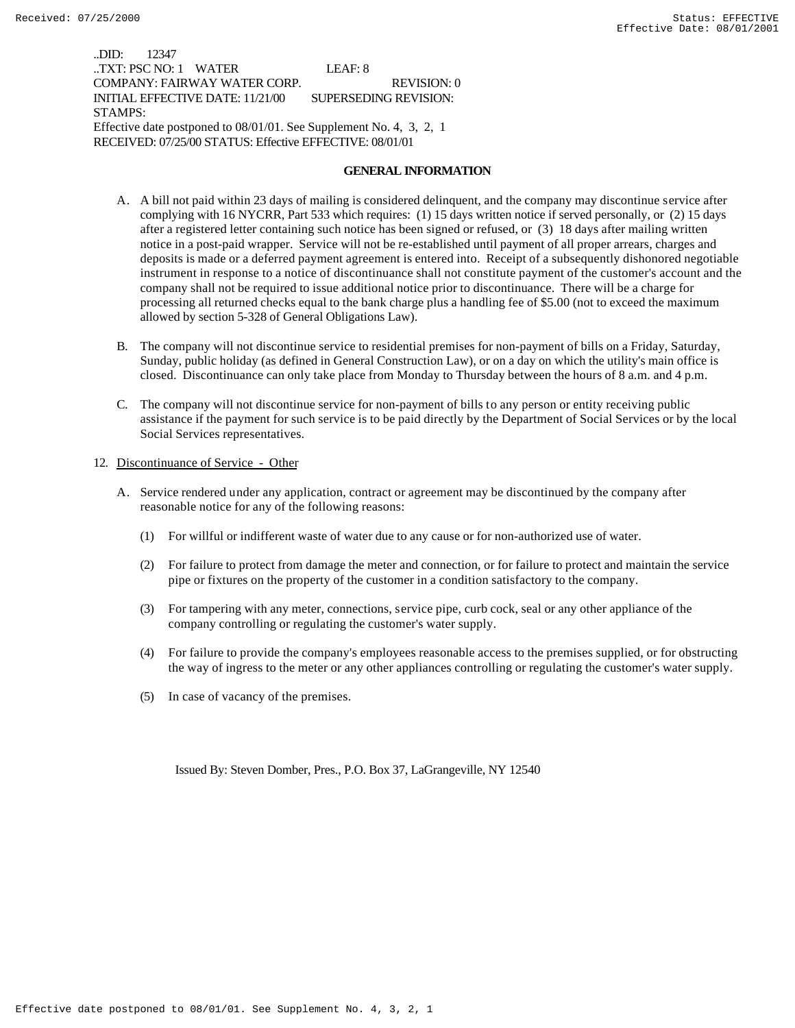..DID: 12347 ..TXT: PSC NO: 1 WATER LEAF: 8 COMPANY: FAIRWAY WATER CORP. REVISION: 0 INITIAL EFFECTIVE DATE: 11/21/00 SUPERSEDING REVISION: STAMPS: Effective date postponed to 08/01/01. See Supplement No. 4, 3, 2, 1 RECEIVED: 07/25/00 STATUS: Effective EFFECTIVE: 08/01/01

#### **GENERAL INFORMATION**

- A. A bill not paid within 23 days of mailing is considered delinquent, and the company may discontinue service after complying with 16 NYCRR, Part 533 which requires: (1) 15 days written notice if served personally, or (2) 15 days after a registered letter containing such notice has been signed or refused, or (3) 18 days after mailing written notice in a post-paid wrapper. Service will not be re-established until payment of all proper arrears, charges and deposits is made or a deferred payment agreement is entered into. Receipt of a subsequently dishonored negotiable instrument in response to a notice of discontinuance shall not constitute payment of the customer's account and the company shall not be required to issue additional notice prior to discontinuance. There will be a charge for processing all returned checks equal to the bank charge plus a handling fee of \$5.00 (not to exceed the maximum allowed by section 5-328 of General Obligations Law).
- B. The company will not discontinue service to residential premises for non-payment of bills on a Friday, Saturday, Sunday, public holiday (as defined in General Construction Law), or on a day on which the utility's main office is closed. Discontinuance can only take place from Monday to Thursday between the hours of 8 a.m. and 4 p.m.
- C. The company will not discontinue service for non-payment of bills to any person or entity receiving public assistance if the payment for such service is to be paid directly by the Department of Social Services or by the local Social Services representatives.

#### 12. Discontinuance of Service - Other

- A. Service rendered under any application, contract or agreement may be discontinued by the company after reasonable notice for any of the following reasons:
	- (1) For willful or indifferent waste of water due to any cause or for non-authorized use of water.
	- (2) For failure to protect from damage the meter and connection, or for failure to protect and maintain the service pipe or fixtures on the property of the customer in a condition satisfactory to the company.
	- (3) For tampering with any meter, connections, service pipe, curb cock, seal or any other appliance of the company controlling or regulating the customer's water supply.
	- (4) For failure to provide the company's employees reasonable access to the premises supplied, or for obstructing the way of ingress to the meter or any other appliances controlling or regulating the customer's water supply.
	- (5) In case of vacancy of the premises.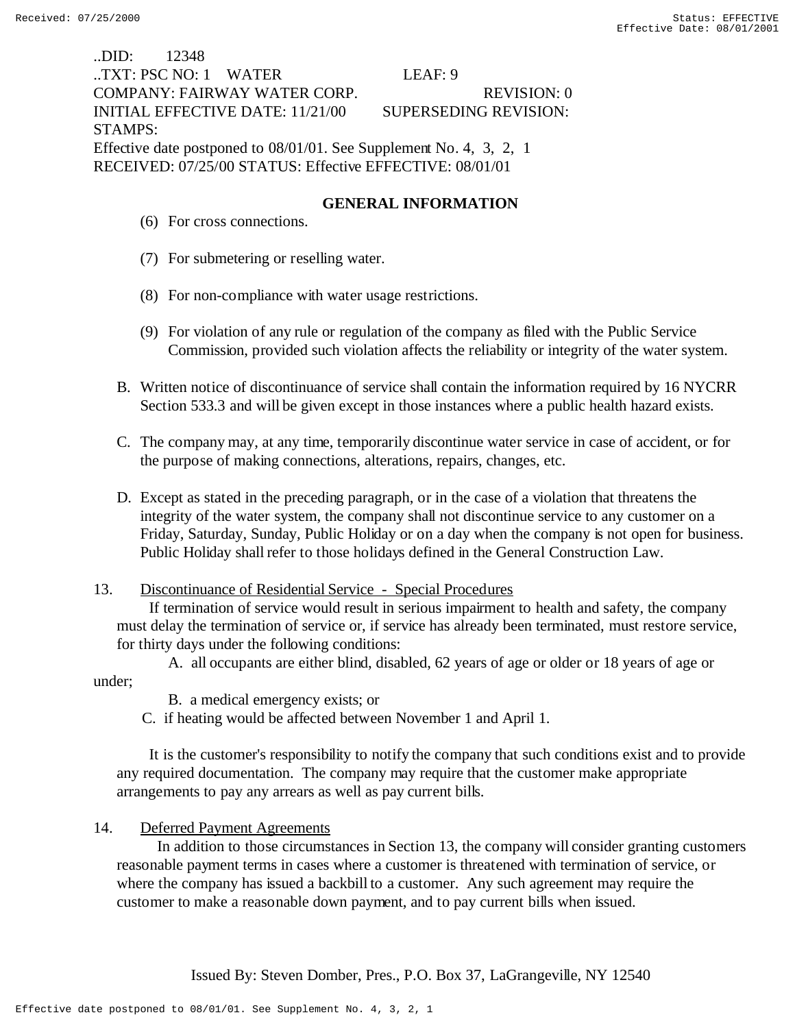| DID: 12348                                                          |                              |  |  |
|---------------------------------------------------------------------|------------------------------|--|--|
| TXT: PSC NO: 1 WATER                                                | LEAF: 9                      |  |  |
| COMPANY: FAIRWAY WATER CORP.                                        | <b>REVISION: 0</b>           |  |  |
| INITIAL EFFECTIVE DATE: 11/21/00                                    | <b>SUPERSEDING REVISION:</b> |  |  |
| <b>STAMPS:</b>                                                      |                              |  |  |
| Effective date postponed to 08/01/01. See Supplement No. 4, 3, 2, 1 |                              |  |  |
| RECEIVED: 07/25/00 STATUS: Effective EFFECTIVE: 08/01/01            |                              |  |  |

# **GENERAL INFORMATION**

- (6) For cross connections.
- (7) For submetering or reselling water.
- (8) For non-compliance with water usage restrictions.
- (9) For violation of any rule or regulation of the company as filed with the Public Service Commission, provided such violation affects the reliability or integrity of the water system.
- B. Written notice of discontinuance of service shall contain the information required by 16 NYCRR Section 533.3 and will be given except in those instances where a public health hazard exists.
- C. The company may, at any time, temporarily discontinue water service in case of accident, or for the purpose of making connections, alterations, repairs, changes, etc.
- D. Except as stated in the preceding paragraph, or in the case of a violation that threatens the integrity of the water system, the company shall not discontinue service to any customer on a Friday, Saturday, Sunday, Public Holiday or on a day when the company is not open for business. Public Holiday shall refer to those holidays defined in the General Construction Law.

## 13. Discontinuance of Residential Service - Special Procedures

 If termination of service would result in serious impairment to health and safety, the company must delay the termination of service or, if service has already been terminated, must restore service, for thirty days under the following conditions:

A. all occupants are either blind, disabled, 62 years of age or older or 18 years of age or under;

B. a medical emergency exists; or

C. if heating would be affected between November 1 and April 1.

 It is the customer's responsibility to notify the company that such conditions exist and to provide any required documentation. The company may require that the customer make appropriate arrangements to pay any arrears as well as pay current bills.

# 14. Deferred Payment Agreements

 In addition to those circumstances in Section 13, the company will consider granting customers reasonable payment terms in cases where a customer is threatened with termination of service, or where the company has issued a backbill to a customer. Any such agreement may require the customer to make a reasonable down payment, and to pay current bills when issued.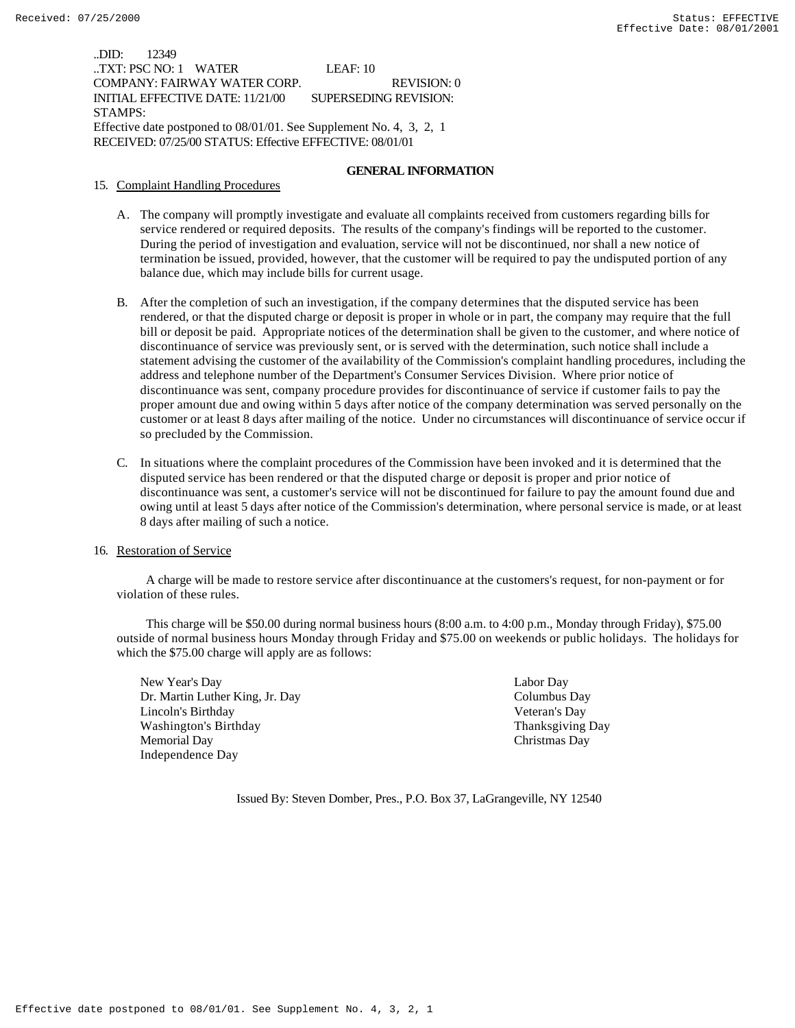..DID: 12349 ..TXT: PSC NO: 1 WATER LEAF: 10 COMPANY: FAIRWAY WATER CORP. REVISION: 0 INITIAL EFFECTIVE DATE: 11/21/00 SUPERSEDING REVISION: STAMPS: Effective date postponed to 08/01/01. See Supplement No. 4, 3, 2, 1 RECEIVED: 07/25/00 STATUS: Effective EFFECTIVE: 08/01/01

#### **GENERAL INFORMATION**

#### 15. Complaint Handling Procedures

- A. The company will promptly investigate and evaluate all complaints received from customers regarding bills for service rendered or required deposits. The results of the company's findings will be reported to the customer. During the period of investigation and evaluation, service will not be discontinued, nor shall a new notice of termination be issued, provided, however, that the customer will be required to pay the undisputed portion of any balance due, which may include bills for current usage.
- B. After the completion of such an investigation, if the company determines that the disputed service has been rendered, or that the disputed charge or deposit is proper in whole or in part, the company may require that the full bill or deposit be paid. Appropriate notices of the determination shall be given to the customer, and where notice of discontinuance of service was previously sent, or is served with the determination, such notice shall include a statement advising the customer of the availability of the Commission's complaint handling procedures, including the address and telephone number of the Department's Consumer Services Division. Where prior notice of discontinuance was sent, company procedure provides for discontinuance of service if customer fails to pay the proper amount due and owing within 5 days after notice of the company determination was served personally on the customer or at least 8 days after mailing of the notice. Under no circumstances will discontinuance of service occur if so precluded by the Commission.
- C. In situations where the complaint procedures of the Commission have been invoked and it is determined that the disputed service has been rendered or that the disputed charge or deposit is proper and prior notice of discontinuance was sent, a customer's service will not be discontinued for failure to pay the amount found due and owing until at least 5 days after notice of the Commission's determination, where personal service is made, or at least 8 days after mailing of such a notice.

#### 16. Restoration of Service

 A charge will be made to restore service after discontinuance at the customers's request, for non-payment or for violation of these rules.

 This charge will be \$50.00 during normal business hours (8:00 a.m. to 4:00 p.m., Monday through Friday), \$75.00 outside of normal business hours Monday through Friday and \$75.00 on weekends or public holidays. The holidays for which the \$75.00 charge will apply are as follows:

New Year's Day Labor Day Dr. Martin Luther King, Jr. Day Columbus Day Lincoln's Birthday Veteran's Day Washington's Birthday Thanksgiving Day Memorial Day Christmas Day Independence Day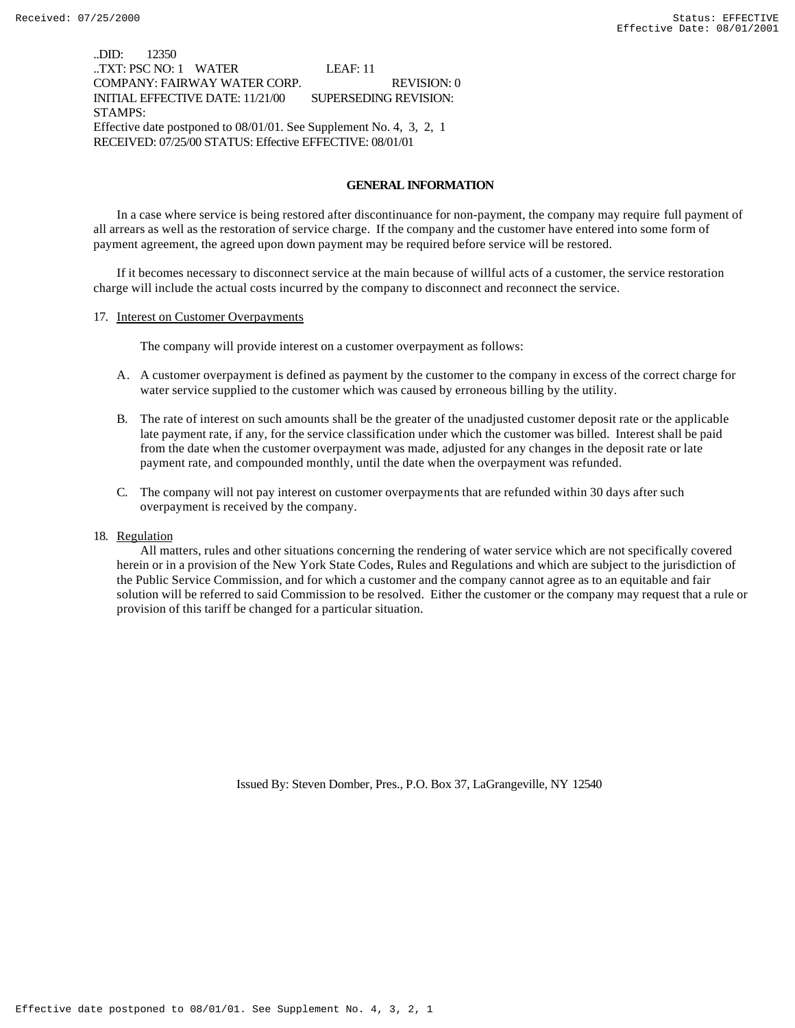..DID: 12350 ..TXT: PSC NO: 1 WATER LEAF: 11 COMPANY: FAIRWAY WATER CORP. REVISION: 0 INITIAL EFFECTIVE DATE: 11/21/00 SUPERSEDING REVISION: STAMPS: Effective date postponed to 08/01/01. See Supplement No. 4, 3, 2, 1 RECEIVED: 07/25/00 STATUS: Effective EFFECTIVE: 08/01/01

### **GENERAL INFORMATION**

In a case where service is being restored after discontinuance for non-payment, the company may require full payment of all arrears as well as the restoration of service charge. If the company and the customer have entered into some form of payment agreement, the agreed upon down payment may be required before service will be restored.

If it becomes necessary to disconnect service at the main because of willful acts of a customer, the service restoration charge will include the actual costs incurred by the company to disconnect and reconnect the service.

#### 17. Interest on Customer Overpayments

The company will provide interest on a customer overpayment as follows:

- A. A customer overpayment is defined as payment by the customer to the company in excess of the correct charge for water service supplied to the customer which was caused by erroneous billing by the utility.
- B. The rate of interest on such amounts shall be the greater of the unadjusted customer deposit rate or the applicable late payment rate, if any, for the service classification under which the customer was billed. Interest shall be paid from the date when the customer overpayment was made, adjusted for any changes in the deposit rate or late payment rate, and compounded monthly, until the date when the overpayment was refunded.
- C. The company will not pay interest on customer overpayments that are refunded within 30 days after such overpayment is received by the company.

#### 18. Regulation

 All matters, rules and other situations concerning the rendering of water service which are not specifically covered herein or in a provision of the New York State Codes, Rules and Regulations and which are subject to the jurisdiction of the Public Service Commission, and for which a customer and the company cannot agree as to an equitable and fair solution will be referred to said Commission to be resolved. Either the customer or the company may request that a rule or provision of this tariff be changed for a particular situation.